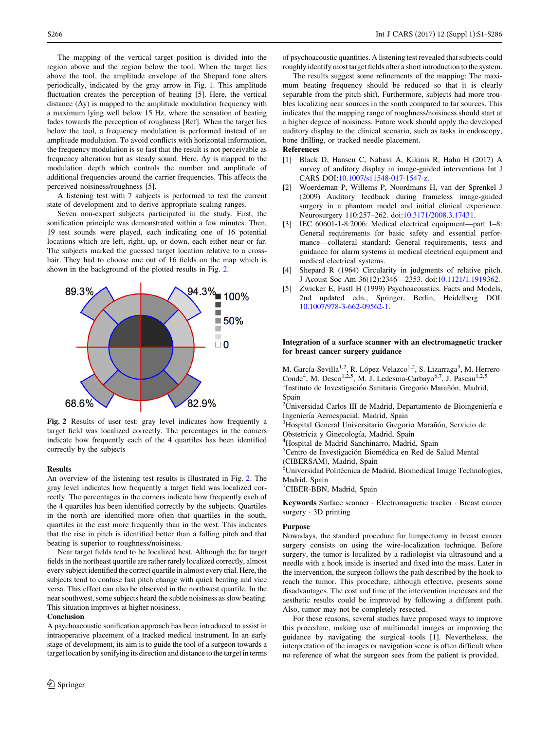The mapping of the vertical target position is divided into the region above and the region below the tool. When the target lies above the tool, the amplitude envelope of the Shepard tone alters periodically, indicated by the gray arrow in Fig. 1. This amplitude fluctuation creates the perception of beating [5]. Here, the vertical distance  $(\Delta y)$  is mapped to the amplitude modulation frequency with a maximum lying well below 15 Hz, where the sensation of beating fades towards the perception of roughness [Ref]. When the target lies below the tool, a frequency modulation is performed instead of an amplitude modulation. To avoid conflicts with horizontal information, the frequency modulation is so fast that the result is not perceivable as frequency alteration but as steady sound. Here,  $\Delta y$  is mapped to the modulation depth which controls the number and amplitude of additional frequencies around the carrier frequencies. This affects the perceived noisiness/roughness [5].

A listening test with 7 subjects is performed to test the current state of development and to derive appropriate scaling ranges.

Seven non-expert subjects participated in the study. First, the sonification principle was demonstrated within a few minutes. Then, 19 test sounds were played, each indicating one of 16 potential locations which are left, right, up, or down, each either near or far. The subjects marked the guessed target location relative to a crosshair. They had to choose one out of 16 fields on the map which is shown in the background of the plotted results in Fig. 2.



Fig. 2 Results of user test: gray level indicates how frequently a target field was localized correctly. The percentages in the corners indicate how frequently each of the 4 quartiles has been identified correctly by the subjects

#### Results

An overview of the listening test results is illustrated in Fig. 2. The gray level indicates how frequently a target field was localized correctly. The percentages in the corners indicate how frequently each of the 4 quartiles has been identified correctly by the subjects. Quartiles in the north are identified more often that quartiles in the south, quartiles in the east more frequently than in the west. This indicates that the rise in pitch is identified better than a falling pitch and that beating is superior to roughness/noisiness.

Near target fields tend to be localized best. Although the far target fields in the northeast quartile are rather rarely localized correctly, almost every subject identified the correct quartile in almost every trial. Here, the subjects tend to confuse fast pitch change with quick beating and vice versa. This effect can also be observed in the northwest quartile. In the near southwest, some subjects heard the subtle noisiness as slow beating. This situation improves at higher noisiness.

### Conclusion

A psychoacoustic sonification approach has been introduced to assist in intraoperative placement of a tracked medical instrument. In an early stage of development, its aim is to guide the tool of a surgeon towards a target location by sonifying its direction and distance to the target in terms of psychoacoustic quantities. A listening test revealed that subjects could roughly identify most target fields after a short introduction to the system.

The results suggest some refinements of the mapping: The maximum beating frequency should be reduced so that it is clearly separable from the pitch shift. Furthermore, subjects had more troubles localizing near sources in the south compared to far sources. This indicates that the mapping range of roughness/noisiness should start at a higher degree of noisiness. Future work should apply the developed auditory display to the clinical scenario, such as tasks in endoscopy, bone drilling, or tracked needle placement. References

# [1] Black D, Hansen C, Nabavi A, Kikinis R, Hahn H (2017) A survey of auditory display in image-guided interventions Int J CARS DOI:[10.1007/s11548-017-1547-z](http://dx.doi.org/10.1007/s11548-017-1547-z).

- [2] Woerdeman P, Willems P, Noordmans H, van der Sprenkel J (2009) Auditory feedback during frameless image-guided surgery in a phantom model and initial clinical experience. Neurosurgery 110:257–262. doi:[10.3171/2008.3.17431](http://dx.doi.org/10.3171/2008.3.17431).
- [3] IEC 60601-1-8:2006: Medical electrical equipment—part 1–8: General requirements for basic safety and essential performance—collateral standard: General requirements, tests and guidance for alarm systems in medical electrical equipment and medical electrical systems.
- Shepard R (1964) Circularity in judgments of relative pitch. J Acoust Soc Am 36(12):2346—2353. doi:[10.1121/1.1919362.](http://dx.doi.org/10.1121/1.1919362)
- Zwicker E, Fastl H (1999) Psychoacoustics. Facts and Models, 2nd updated edn., Springer, Berlin, Heidelberg DOI: [10.1007/978-3-662-09562-1.](http://dx.doi.org/10.1007/978-3-662-09562-1)

# Integration of a surface scanner with an electromagnetic tracker for breast cancer surgery guidance

M. García-Sevilla<sup>1,2</sup>, R. López-Velazco<sup>1,2</sup>, S. Lizarraga<sup>3</sup>, M. Herrero-Conde<sup>4</sup>, M. Desco<sup>1,2,5</sup>, M. J. Ledesma-Carbayo<sup>6,7</sup>, J. Pascau<sup>1,2,5</sup>

<sup>1</sup>Instituto de Investigación Sanitaria Gregorio Marañón, Madrid, Spain

<sup>2</sup>Universidad Carlos III de Madrid, Departamento de Bioingeniería e Ingeniería Aeroespacial, Madrid, Spain

<sup>3</sup>Hospital General Universitario Gregorio Marañón, Servicio de Obstetricia y Ginecología, Madrid, Spain

<sup>4</sup>Hospital de Madrid Sanchinarro, Madrid, Spain

<sup>5</sup>Centro de Investigación Biomédica en Red de Salud Mental (CIBERSAM), Madrid, Spain

<sup>6</sup>Universidad Politécnica de Madrid, Biomedical Image Technologies, Madrid, Spain

7 CIBER-BBN, Madrid, Spain

Keywords Surface scanner - Electromagnetic tracker - Breast cancer surgery - 3D printing

#### Purpose

Nowadays, the standard procedure for lumpectomy in breast cancer surgery consists on using the wire-localization technique. Before surgery, the tumor is localized by a radiologist via ultrasound and a needle with a hook inside is inserted and fixed into the mass. Later in the intervention, the surgeon follows the path described by the hook to reach the tumor. This procedure, although effective, presents some disadvantages. The cost and time of the intervention increases and the aesthetic results could be improved by following a different path. Also, tumor may not be completely resected.

For these reasons, several studies have proposed ways to improve this procedure, making use of multimodal images or improving the guidance by navigating the surgical tools [1]. Nevertheless, the interpretation of the images or navigation scene is often difficult when no reference of what the surgeon sees from the patient is provided.